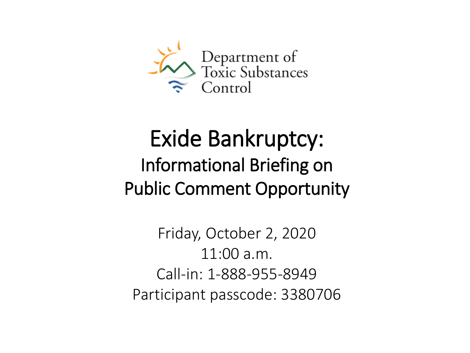

# Exide Bankruptcy: Informational Briefing on Public Comment Opportunity

Friday, October 2, 2020 11:00 a.m. Call-in: 1-888-955-8949 Participant passcode: 3380706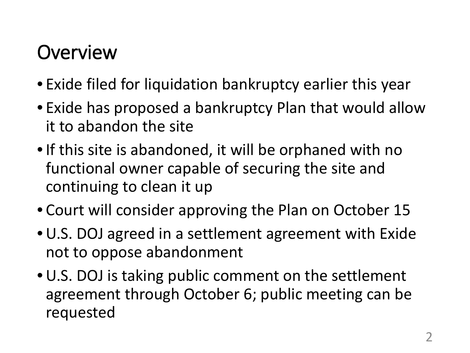## **Overview**

- Exide filed for liquidation bankruptcy earlier this year
- Exide has proposed a bankruptcy Plan that would allow it to abandon the site
- •If this site is abandoned, it will be orphaned with no functional owner capable of securing the site and continuing to clean it up
- Court will consider approving the Plan on October 15
- U.S. DOJ agreed in a settlement agreement with Exide not to oppose abandonment
- U.S. DOJ is taking public comment on the settlement agreement through October 6; public meeting can be requested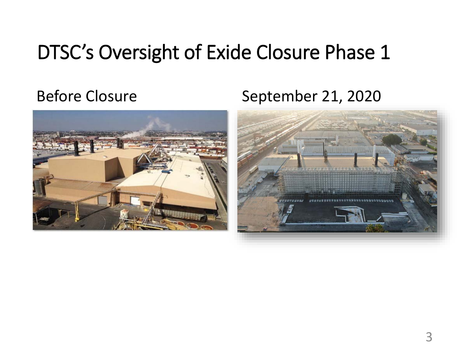## DTSC's Oversight of Exide Closure Phase 1

### Before Closure September 21, 2020



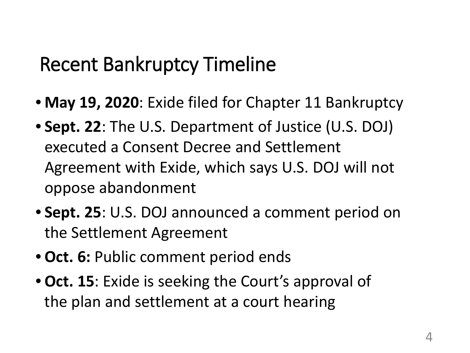## Recent Bankruptcy Timeline

- **May 19, 2020**: Exide filed for Chapter 11 Bankruptcy
- **Sept. 22**: The U.S. Department of Justice (U.S. DOJ) executed a Consent Decree and Settlement Agreement with Exide, which says U.S. DOJ will not oppose abandonment
- **Sept. 25**: U.S. DOJ announced a comment period on the Settlement Agreement
- **Oct. 6:** Public comment period ends
- **Oct. 15**: Exide is seeking the Court's approval of the plan and settlement at a court hearing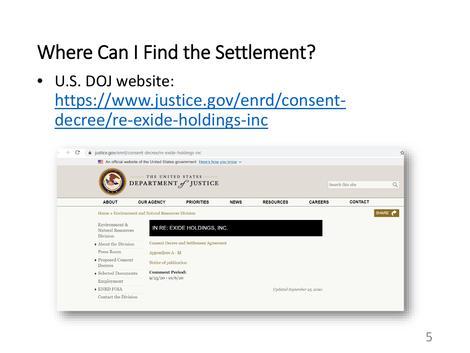## Where Can I Find the Settlement?

• U.S. DOJ website:

[https://www.justice.gov/enrd/consent](https://www.justice.gov/enrd/consent-decree/re-exide-holdings-inc)decree/re-exide-holdings-inc

|                                                   |                        | An official website of the United States government Here's how you know v |             |                            |                |                  |   |
|---------------------------------------------------|------------------------|---------------------------------------------------------------------------|-------------|----------------------------|----------------|------------------|---|
|                                                   | THE UNITED STATES      | DEPARTMENT of JUSTICE                                                     |             |                            |                |                  |   |
|                                                   |                        |                                                                           |             |                            |                | Search this site | Q |
| <b>ABOUT</b>                                      | <b>OUR AGENCY</b>      | <b>PRIORITIES</b>                                                         | <b>NEWS</b> | <b>RESOURCES</b>           | <b>CAREERS</b> | <b>CONTACT</b>   |   |
| Home » Environment and Natural Resources Division |                        |                                                                           |             |                            |                |                  |   |
| <b>Division</b><br>About the Division             |                        | Consent Decree and Settlement Agreement                                   |             |                            |                |                  |   |
| <b>Press Room</b>                                 |                        |                                                                           |             |                            |                |                  |   |
|                                                   | Appendices A - M       |                                                                           |             |                            |                |                  |   |
| ▶ Proposed Consent<br>Decrees                     | Notice of publication  |                                                                           |             |                            |                |                  |   |
| Selected Documents                                | <b>Comment Period:</b> |                                                                           |             |                            |                |                  |   |
|                                                   |                        | $9/25/20 - 10/6/20$                                                       |             |                            |                |                  |   |
| Employment                                        |                        |                                                                           |             |                            |                |                  |   |
| <b>ENRD FOIA</b>                                  |                        |                                                                           |             | Updated September 25, 2020 |                |                  |   |
| Contact the Division                              |                        |                                                                           |             |                            |                |                  |   |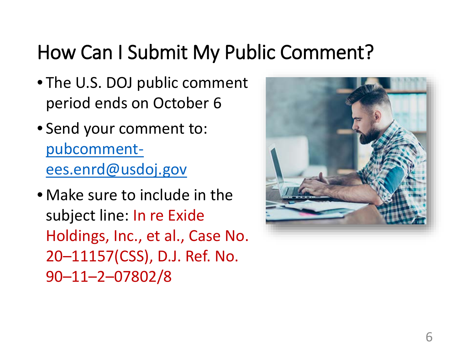## How Can I Submit My Public Comment?

- The U.S. DOJ public comment period ends on October 6
- Send your comment to: pubcomment[ees.enrd@usdoj.gov](mailto:pubcomment-ees.enrd@usdoj.gov)
- Make sure to include in the subject line: In re Exide Holdings, Inc., et al., Case No. 20–11157(CSS), D.J. Ref. No. 90–11–2–07802/8